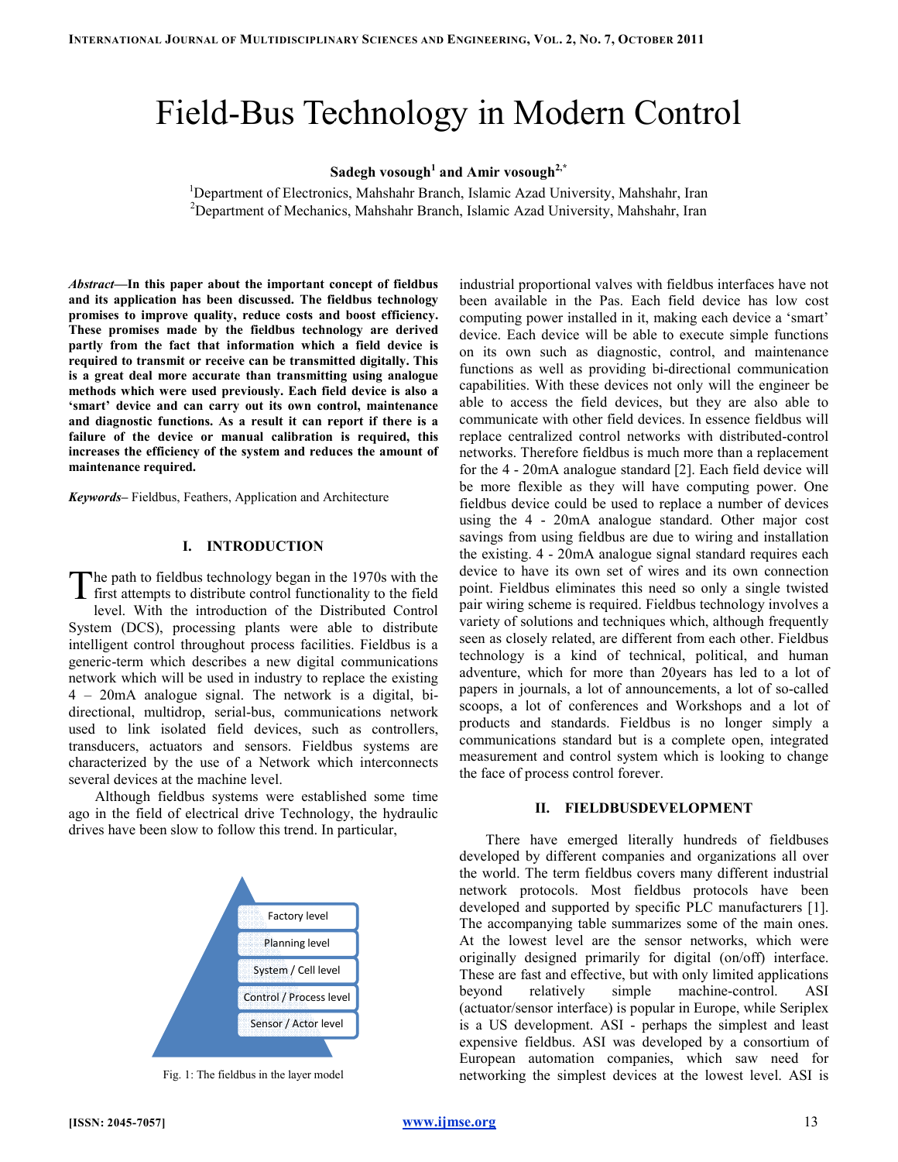# Field-Bus Technology in Modern Control

# Sadegh vosough $^1$  and Amir vosough $^{2, \ast}$

<sup>1</sup>Department of Electronics, Mahshahr Branch, Islamic Azad University, Mahshahr, Iran <sup>2</sup>Department of Mechanics, Mahshahr Branch, Islamic Azad University, Mahshahr, Iran

Abstract—In this paper about the important concept of fieldbus and its application has been discussed. The fieldbus technology promises to improve quality, reduce costs and boost efficiency. These promises made by the fieldbus technology are derived partly from the fact that information which a field device is required to transmit or receive can be transmitted digitally. This is a great deal more accurate than transmitting using analogue methods which were used previously. Each field device is also a 'smart' device and can carry out its own control, maintenance and diagnostic functions. As a result it can report if there is a failure of the device or manual calibration is required, this increases the efficiency of the system and reduces the amount of maintenance required. and its application has been discussed. The fieldbus technolo<br>promises to improve quality, reduce costs and boost efficient<br>These promises made by the fieldbus technology are deriv<br>partly from the fact that information whi

Keywords-Fieldbus, Feathers, Application and Architecture

#### I. INTRODUCTION

he path to fieldbus technology began in the 1970s with the The path to fieldbus technology began in the 1970s with the first attempts to distribute control functionality to the field level. With the introduction of the Distributed Control System (DCS), processing plants were able to distribute intelligent control throughout process facilities. Fieldbus is a generic-term which describes a new digital communications network which will be used in industry to replace the existing 4 – 20mA analogue signal. The network is a digital, bi directional, multidrop, serial-bus, communications network used to link isolated field devices, such as controllers, transducers, actuators and sensors. Fieldbus systems are characterized by the use of a Network which interconnects several devices at the machine level. tion of the Distributed Control<br>plants were able to distribute<br>process facilities. Fieldbus is a term which describes a new digital communications<br>which will be used in industry to replace the existing<br>mA analogue signal. The network is a digital, bional, multidrop, serial-bus, communications network<br>to link isolated field devices, such as controllers,<br>ucers, actuators and sensors. Fieldbus systems are<br>terized by the use of a Network which interconnects<br>I devices at t S Technology<br>
Sadegh vosough<sup>1</sup> and A<br>
Electronics, Mahshahr Branch, Is<br>
Mechanics, Mahshahr Branch, Is<br>
Mechanics, Mahshahr Branch, Is<br>
ortant concept of fieldbus<br>
in the fieldbus technology are derived<br>
acosts and boost

Although fieldbus systems were established some time ago in the field of electrical drive Technology, the hydraulic drives have been slow to follow this trend. In particular,



Fig. 1: The fieldbus in the layer model

with industrial concept of fieldbus interfaces with fieldbus interfaces have not the layer interface in the layer interface interface in the layer interface interface interfaces the field of the concept interface in the m been available in the Pas. Each field device has low cost computing power installed in it, making each device a 'smart' device. Each device will be able to execute simple functions on its own such as diagnostic, control, and maintenance functions as well as providing bi-directional communication device. Each device will be able to execute simple functions<br>on its own such as diagnostic, control, and maintenance<br>functions as well as providing bi-directional communication<br>capabilities. With these devices not only wil able to access the field devices, but they are also able to communicate with other field devices. In essence fieldbus will replace centralized control networks with distributed networks. Therefore fieldbus is much more than a replacement for the 4 - 20mA analogue standard [2]. Each field device will be more flexible as they will have computing power. One fieldbus device could be used to replace a number of devices using the 4 - 20mA analogue standard. Other major cost savings from using fieldbus are due to wiring and installation the existing. 4 - 20mA analogue signal standard requires each device to have its own set of wires and its own connection point. Fieldbus eliminates this need so only a single twisted be more flexible as they will have computing power. One fieldbus device could be used to replace a number of devices using the 4 - 20mA analogue standard. Other major cost savings from using fieldbus are due to wiring and variety of solutions and techniques which, although frequently seen as closely related, are different from each other. Fieldbus technology is a kind of technical, political, and human adventure, which for more than 20years has led to a lot of adventure, which for more than 20 years has led to a lot of papers in journals, a lot of announcements, a lot of so-called scoops, a lot of conferences and Workshops and a lot of products and standards. Fieldbus is no longer simply a products and standards. Fieldbus is no longer simply a communications standard but is a complete open, integrated measurement and control system which is looking to change the face of process control forever. Figure is with fieldbus interfaces have not<br>Each field device has low cost<br>it, making each device a 'smart' able to access the field devices, but they are also able to communicate with other field devices. In essence fieldbus will replace centralized control networks with distributed-control

#### II. FIELDBUSDEVELOPMENT DEVELOPMENT

There have emerged literally hundreds of fieldbuses There have emerged literally hundreds of fieldbuses developed by different companies and organizations all over the world. The term fieldbus covers many different industrial network protocols. Most fieldbus protocols have been developed and supported by specific PLC manufacturers [1]. The accompanying table summarizes some of the main ones. At the lowest level are the sensor networks, which were originally designed primarily for digital (on/off) interface. These are fast and effective, but with only limited applications beyond relatively simple machine-control. (actuator/sensor interface) is popular in Europe, while Seriplex is a US development. ASI - perhaps the simplest and least expensive fieldbus. ASI was developed by a consortium of European automation companies, which saw need for networking the simplest devices at the lowest level. The term fieldbus covers many different industrial<br>protocols. Most fieldbus protocols have been<br>and supported by specific PLC manufacturers [1]. At the lowest level are the sensor networks, which were originally designed primarily for digital (on/off) interface.<br>These are fast and effective, but with only limited applications beyond relatively simple machine-contro haps the simplest and least<br>eloped by a consortium of<br>s, which saw need for<br>at the lowest level. ASI is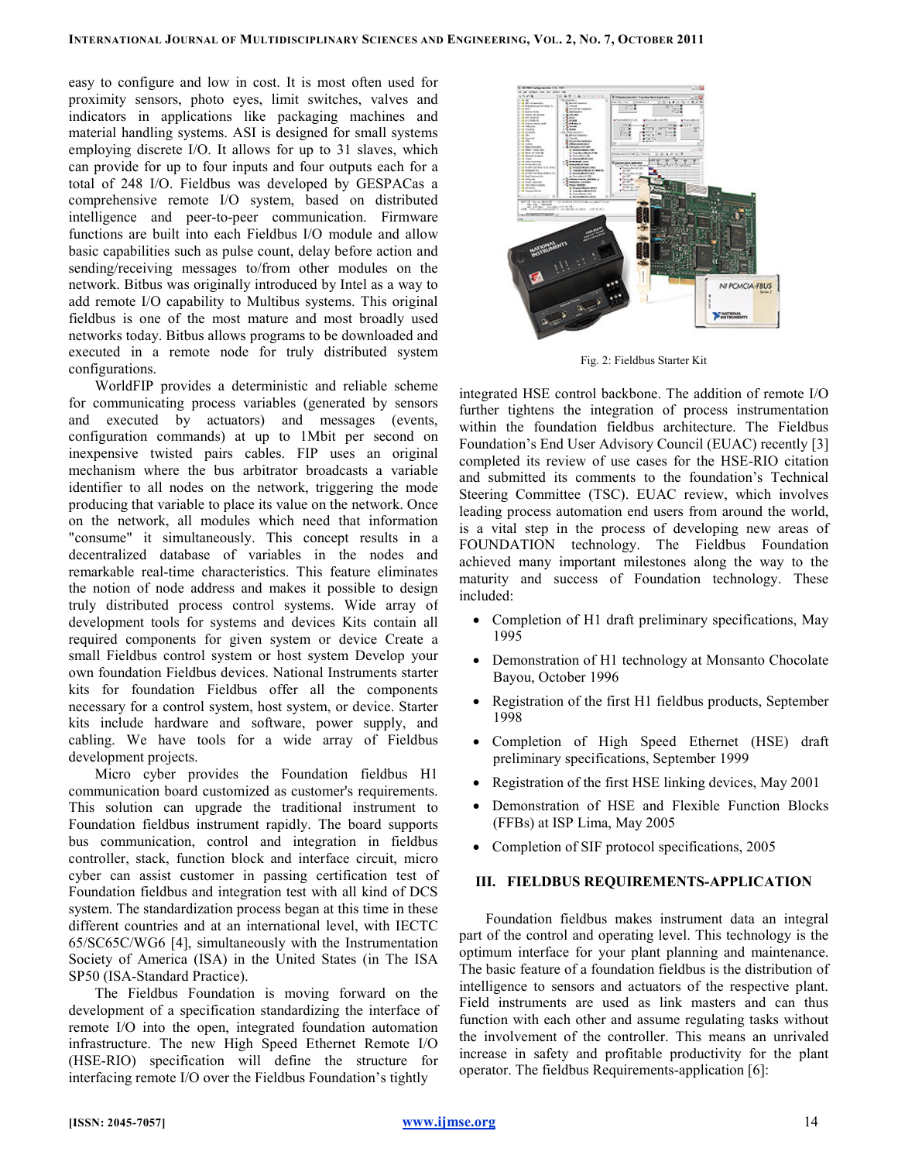easy to configure and low in cost. It is most often used for proximity sensors, photo eyes, limit switches, valves and indicators in applications like packaging machines and material handling systems. ASI is designed for small systems employing discrete I/O. It allows for up to 31 slaves, which can provide for up to four inputs and four outputs each for a total of 248 I/O. Fieldbus was developed by GESPACas a comprehensive remote I/O system, based on distributed intelligence and peer-to-peer communication. Firmware functions are built into each Fieldbus I/O module and allow basic capabilities such as pulse count, delay before action and sending/receiving messages to/from other modules on the network. Bitbus was originally introduced by Intel as a way to add remote I/O capability to Multibus systems. This original fieldbus is one of the most mature and most broadly used networks today. Bitbus allows programs to be downloaded and executed in a remote node for truly distributed system configurations.

WorldFIP provides a deterministic and reliable scheme for communicating process variables (generated by sensors and executed by actuators) and messages (events, configuration commands) at up to 1Mbit per second on inexpensive twisted pairs cables. FIP uses an original mechanism where the bus arbitrator broadcasts a variable identifier to all nodes on the network, triggering the mode producing that variable to place its value on the network. Once on the network, all modules which need that information "consume" it simultaneously. This concept results in a decentralized database of variables in the nodes and remarkable real-time characteristics. This feature eliminates the notion of node address and makes it possible to design truly distributed process control systems. Wide array of development tools for systems and devices Kits contain all required components for given system or device Create a small Fieldbus control system or host system Develop your own foundation Fieldbus devices. National Instruments starter kits for foundation Fieldbus offer all the components necessary for a control system, host system, or device. Starter kits include hardware and software, power supply, and cabling. We have tools for a wide array of Fieldbus development projects.

Micro cyber provides the Foundation fieldbus H1 communication board customized as customer's requirements. This solution can upgrade the traditional instrument to Foundation fieldbus instrument rapidly. The board supports bus communication, control and integration in fieldbus controller, stack, function block and interface circuit, micro cyber can assist customer in passing certification test of Foundation fieldbus and integration test with all kind of DCS system. The standardization process began at this time in these different countries and at an international level, with IECTC 65/SC65C/WG6 [4], simultaneously with the Instrumentation Society of America (ISA) in the United States (in The ISA SP50 (ISA-Standard Practice).

The Fieldbus Foundation is moving forward on the development of a specification standardizing the interface of remote I/O into the open, integrated foundation automation infrastructure. The new High Speed Ethernet Remote I/O (HSE-RIO) specification will define the structure for interfacing remote I/O over the Fieldbus Foundation's tightly



Fig. 2: Fieldbus Starter Kit

integrated HSE control backbone. The addition of remote I/O further tightens the integration of process instrumentation within the foundation fieldbus architecture. The Fieldbus Foundation's End User Advisory Council (EUAC) recently [3] completed its review of use cases for the HSE-RIO citation and submitted its comments to the foundation's Technical Steering Committee (TSC). EUAC review, which involves leading process automation end users from around the world, is a vital step in the process of developing new areas of FOUNDATION technology. The Fieldbus Foundation achieved many important milestones along the way to the maturity and success of Foundation technology. These included:

- Completion of H1 draft preliminary specifications, May 1995
- Demonstration of H1 technology at Monsanto Chocolate Bayou, October 1996
- Registration of the first H1 fieldbus products, September 1998
- Completion of High Speed Ethernet (HSE) draft preliminary specifications, September 1999
- Registration of the first HSE linking devices, May 2001
- Demonstration of HSE and Flexible Function Blocks (FFBs) at ISP Lima, May 2005
- Completion of SIF protocol specifications, 2005

### III. FIELDBUS REQUIREMENTS-APPLICATION

Foundation fieldbus makes instrument data an integral part of the control and operating level. This technology is the optimum interface for your plant planning and maintenance. The basic feature of a foundation fieldbus is the distribution of intelligence to sensors and actuators of the respective plant. Field instruments are used as link masters and can thus function with each other and assume regulating tasks without the involvement of the controller. This means an unrivaled increase in safety and profitable productivity for the plant operator. The fieldbus Requirements-application [6]: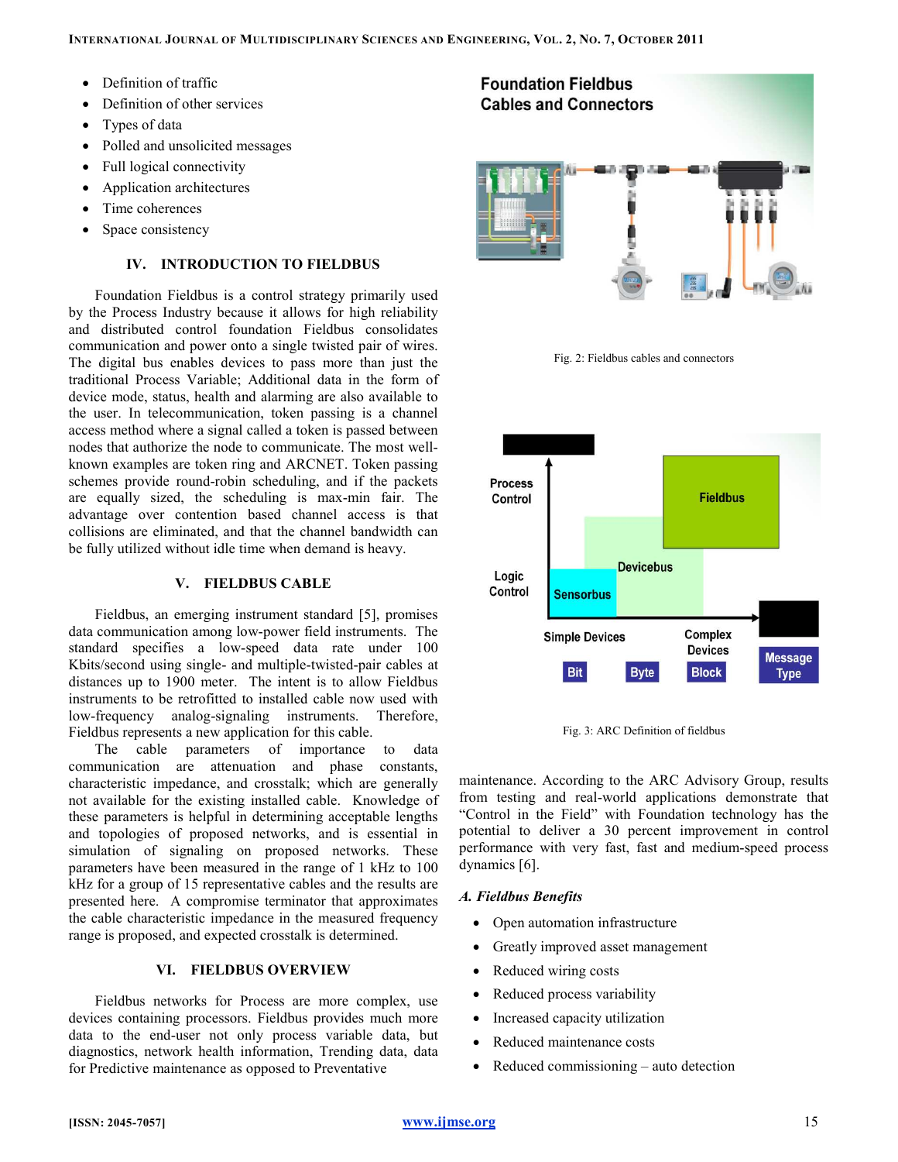- Definition of traffic
- Definition of other services
- Types of data
- Polled and unsolicited messages
- Full logical connectivity
- Application architectures
- Time coherences
- Space consistency

# IV. INTRODUCTION TO FIELDBUS

Foundation Fieldbus is a control strategy primarily used by the Process Industry because it allows for high reliability and distributed control foundation Fieldbus consolidates communication and power onto a single twisted pair of wires. The digital bus enables devices to pass more than just the traditional Process Variable; Additional data in the form of device mode, status, health and alarming are also available to the user. In telecommunication, token passing is a channel access method where a signal called a token is passed between nodes that authorize the node to communicate. The most wellknown examples are token ring and ARCNET. Token passing schemes provide round-robin scheduling, and if the packets are equally sized, the scheduling is max-min fair. The advantage over contention based channel access is that collisions are eliminated, and that the channel bandwidth can be fully utilized without idle time when demand is heavy.

## V. FIELDBUS CABLE

Fieldbus, an emerging instrument standard [5], promises data communication among low-power field instruments. The standard specifies a low-speed data rate under 100 Kbits/second using single- and multiple-twisted-pair cables at distances up to 1900 meter. The intent is to allow Fieldbus instruments to be retrofitted to installed cable now used with low-frequency analog-signaling instruments. Therefore, Fieldbus represents a new application for this cable.

The cable parameters of importance to data communication are attenuation and phase constants, characteristic impedance, and crosstalk; which are generally not available for the existing installed cable. Knowledge of these parameters is helpful in determining acceptable lengths and topologies of proposed networks, and is essential in simulation of signaling on proposed networks. These parameters have been measured in the range of 1 kHz to 100 kHz for a group of 15 representative cables and the results are presented here. A compromise terminator that approximates the cable characteristic impedance in the measured frequency range is proposed, and expected crosstalk is determined.

## VI. FIELDBUS OVERVIEW

Fieldbus networks for Process are more complex, use devices containing processors. Fieldbus provides much more data to the end-user not only process variable data, but diagnostics, network health information, Trending data, data for Predictive maintenance as opposed to Preventative







Fig. 3: ARC Definition of fieldbus

maintenance. According to the ARC Advisory Group, results from testing and real-world applications demonstrate that "Control in the Field" with Foundation technology has the potential to deliver a 30 percent improvement in control performance with very fast, fast and medium-speed process dynamics [6].

# A. Fieldbus Benefits

- Open automation infrastructure
- Greatly improved asset management
- Reduced wiring costs
- Reduced process variability
- Increased capacity utilization
- Reduced maintenance costs
- Reduced commissioning auto detection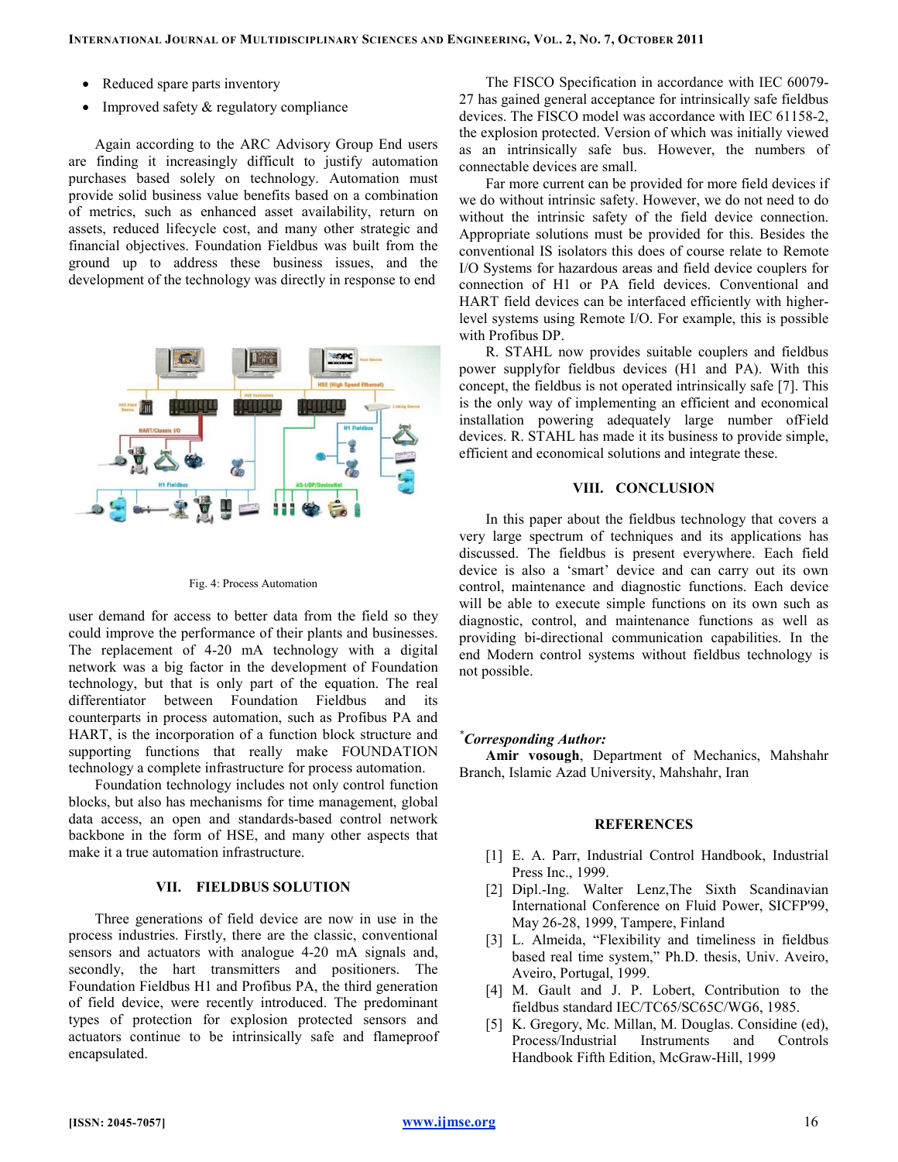- Reduced spare parts inventory
- Improved safety & regulatory compliance

Again according to the ARC Advisory Group End users are finding it increasingly difficult to justify automation purchases based solely on technology. Automation must provide solid business value benefits based on a combination of metrics, such as enhanced asset availability, return on assets, reduced lifecycle cost, and many other strategic and financial objectives. Foundation Fieldbus was built from the ground up to address these business issues, and the development of the technology was directly in response to end



Fig. 4: Process Automation

user demand for access to better data from the field so they could improve the performance of their plants and businesses. The replacement of 4-20 mA technology with a digital network was a big factor in the development of Foundation technology, but that is only part of the equation. The real differentiator between Foundation Fieldbus and its counterparts in process automation, such as Profibus PA and HART, is the incorporation of a function block structure and supporting functions that really make FOUNDATION technology a complete infrastructure for process automation.

Foundation technology includes not only control function blocks, but also has mechanisms for time management, global data access, an open and standards-based control network backbone in the form of HSE, and many other aspects that make it a true automation infrastructure.

## VII. FIELDBUS SOLUTION

Three generations of field device are now in use in the process industries. Firstly, there are the classic, conventional sensors and actuators with analogue 4-20 mA signals and, secondly, the hart transmitters and positioners. The Foundation Fieldbus H1 and Profibus PA, the third generation of field device, were recently introduced. The predominant types of protection for explosion protected sensors and actuators continue to be intrinsically safe and flameproof encapsulated.

The FISCO Specification in accordance with IEC 60079- 27 has gained general acceptance for intrinsically safe fieldbus devices. The FISCO model was accordance with IEC 61158-2, the explosion protected. Version of which was initially viewed as an intrinsically safe bus. However, the numbers of connectable devices are small.

Far more current can be provided for more field devices if we do without intrinsic safety. However, we do not need to do without the intrinsic safety of the field device connection. Appropriate solutions must be provided for this. Besides the conventional IS isolators this does of course relate to Remote I/O Systems for hazardous areas and field device couplers for connection of H1 or PA field devices. Conventional and HART field devices can be interfaced efficiently with higherlevel systems using Remote I/O. For example, this is possible with Profibus DP.

R. STAHL now provides suitable couplers and fieldbus power supplyfor fieldbus devices (H1 and PA). With this concept, the fieldbus is not operated intrinsically safe [7]. This is the only way of implementing an efficient and economical installation powering adequately large number ofField devices. R. STAHL has made it its business to provide simple, efficient and economical solutions and integrate these.

#### VIII. CONCLUSION

In this paper about the fieldbus technology that covers a very large spectrum of techniques and its applications has discussed. The fieldbus is present everywhere. Each field device is also a 'smart' device and can carry out its own control, maintenance and diagnostic functions. Each device will be able to execute simple functions on its own such as diagnostic, control, and maintenance functions as well as providing bi-directional communication capabilities. In the end Modern control systems without fieldbus technology is not possible.

### \*Corresponding Author:

Amir vosough, Department of Mechanics, Mahshahr Branch, Islamic Azad University, Mahshahr, Iran

#### REFERENCES

- [1] E. A. Parr, Industrial Control Handbook, Industrial Press Inc., 1999.
- [2] Dipl.-Ing. Walter Lenz,The Sixth Scandinavian International Conference on Fluid Power, SICFP'99, May 26-28, 1999, Tampere, Finland
- [3] L. Almeida, "Flexibility and timeliness in fieldbus based real time system," Ph.D. thesis, Univ. Aveiro, Aveiro, Portugal, 1999.
- [4] M. Gault and J. P. Lobert, Contribution to the fieldbus standard IEC/TC65/SC65C/WG6, 1985.
- [5] K. Gregory, Mc. Millan, M. Douglas. Considine (ed), Process/Industrial Instruments and Controls Handbook Fifth Edition, McGraw-Hill, 1999